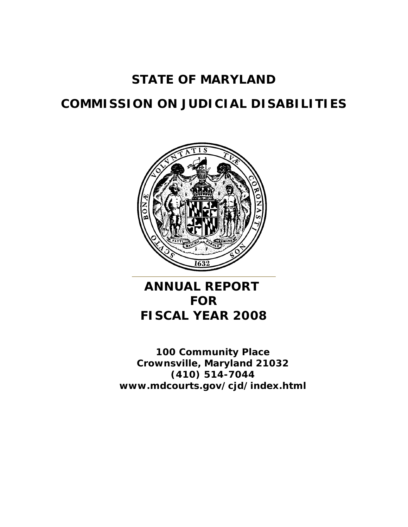# **STATE OF MARYLAND**

# **COMMISSION ON JUDICIAL DISABILITIES**



# **ANNUAL REPORT FOR FISCAL YEAR 2008**

**100 Community Place Crownsville, Maryland 21032 (410) 514-7044 www.mdcourts.gov/cjd/index.html**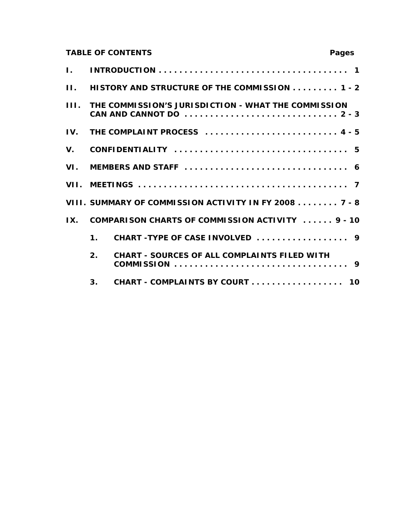## **TABLE OF CONTENTS Pages**

| Ι.      |                |                                                       |  |  |  |  |
|---------|----------------|-------------------------------------------------------|--|--|--|--|
| $\Pi$ . |                | HISTORY AND STRUCTURE OF THE COMMISSION 1 - 2         |  |  |  |  |
| III.    |                | THE COMMISSION'S JURISDICTION - WHAT THE COMMISSION   |  |  |  |  |
| IV.     |                | THE COMPLAINT PROCESS  4 - 5                          |  |  |  |  |
| V.      |                |                                                       |  |  |  |  |
|         |                |                                                       |  |  |  |  |
|         |                |                                                       |  |  |  |  |
|         |                | VIII. SUMMARY OF COMMISSION ACTIVITY IN FY 2008 7 - 8 |  |  |  |  |
| IX.     |                | COMPARISON CHARTS OF COMMISSION ACTIVITY  9 - 10      |  |  |  |  |
|         | $\mathbf 1$ .  |                                                       |  |  |  |  |
|         | 2.             | <b>CHART - SOURCES OF ALL COMPLAINTS FILED WITH</b>   |  |  |  |  |
|         | 3 <sub>1</sub> | CHART - COMPLAINTS BY COURT 10                        |  |  |  |  |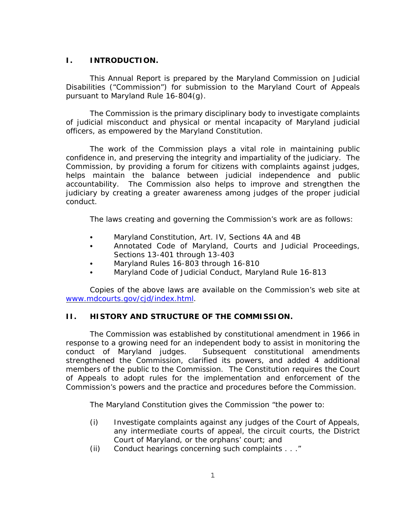## **I. INTRODUCTION.**

This Annual Report is prepared by the Maryland Commission on Judicial Disabilities ("Commission") for submission to the Maryland Court of Appeals pursuant to Maryland Rule 16-804(g).

The Commission is the primary disciplinary body to investigate complaints of judicial misconduct and physical or mental incapacity of Maryland judicial officers, as empowered by the Maryland Constitution.

The work of the Commission plays a vital role in maintaining public confidence in, and preserving the integrity and impartiality of the judiciary. The Commission, by providing a forum for citizens with complaints against judges, helps maintain the balance between judicial independence and public accountability. The Commission also helps to improve and strengthen the judiciary by creating a greater awareness among judges of the proper judicial conduct.

The laws creating and governing the Commission's work are as follows:

- Maryland Constitution, Art. IV, Sections 4A and 4B
- Annotated Code of Maryland, Courts and Judicial Proceedings, Sections 13-401 through 13-403
- Maryland Rules 16-803 through 16-810
- Maryland Code of Judicial Conduct, Maryland Rule 16-813

Copies of the above laws are available on the Commission's web site at www.mdcourts.gov/cjd/index.html.

## **II. HISTORY AND STRUCTURE OF THE COMMISSION.**

The Commission was established by constitutional amendment in 1966 in response to a growing need for an independent body to assist in monitoring the conduct of Maryland judges. Subsequent constitutional amendments strengthened the Commission, clarified its powers, and added 4 additional members of the public to the Commission. The Constitution requires the Court of Appeals to adopt rules for the implementation and enforcement of the Commission's powers and the practice and procedures before the Commission.

The Maryland Constitution gives the Commission "the power to:

- (i) Investigate complaints against any judges of the Court of Appeals, any intermediate courts of appeal, the circuit courts, the District Court of Maryland, or the orphans' court; and
- (ii) Conduct hearings concerning such complaints . . ."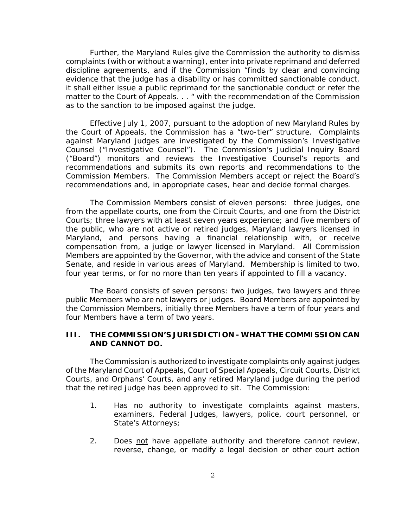Further, the Maryland Rules give the Commission the authority to dismiss complaints (with or without a warning), enter into private reprimand and deferred discipline agreements, and if the Commission "finds by clear and convincing evidence that the judge has a disability or has committed sanctionable conduct, it shall either issue a public reprimand for the sanctionable conduct or refer the matter to the Court of Appeals. . . " with the recommendation of the Commission as to the sanction to be imposed against the judge.

Effective July 1, 2007, pursuant to the adoption of new Maryland Rules by the Court of Appeals, the Commission has a "two-tier" structure. Complaints against Maryland judges are investigated by the Commission's Investigative Counsel ("Investigative Counsel"). The Commission's Judicial Inquiry Board ("Board") monitors and reviews the Investigative Counsel's reports and recommendations and submits its own reports and recommendations to the Commission Members. The Commission Members accept or reject the Board's recommendations and, in appropriate cases, hear and decide formal charges.

The Commission Members consist of eleven persons: three judges, one from the appellate courts, one from the Circuit Courts, and one from the District Courts; three lawyers with at least seven years experience; and five members of the public, who are not active or retired judges, Maryland lawyers licensed in Maryland, and persons having a financial relationship with, or receive compensation from, a judge or lawyer licensed in Maryland. All Commission Members are appointed by the Governor, with the advice and consent of the State Senate, and reside in various areas of Maryland. Membership is limited to two, four year terms, or for no more than ten years if appointed to fill a vacancy.

The Board consists of seven persons: two judges, two lawyers and three public Members who are not lawyers or judges. Board Members are appointed by the Commission Members, initially three Members have a term of four years and four Members have a term of two years.

## **III. THE COMMISSION'S JURISDICTION - WHAT THE COMMISSION CAN AND CANNOT DO.**

The Commission is authorized to investigate complaints only against judges of the Maryland Court of Appeals, Court of Special Appeals, Circuit Courts, District Courts, and Orphans' Courts, and any retired Maryland judge during the period that the retired judge has been approved to sit. The Commission:

- 1. Has no authority to investigate complaints against masters, examiners, Federal Judges, lawyers, police, court personnel, or State's Attorneys;
- 2. Does not have appellate authority and therefore cannot review, reverse, change, or modify a legal decision or other court action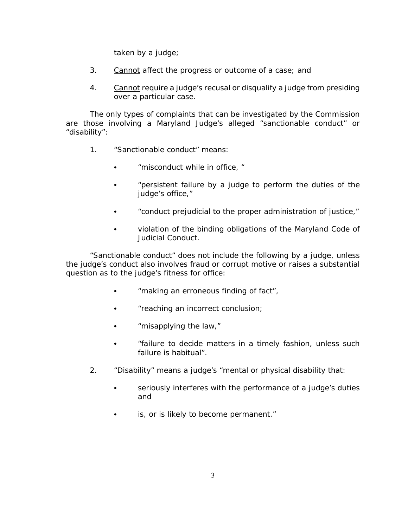taken by a judge;

- 3. Cannot affect the progress or outcome of a case; and
- 4. Cannot require a judge's recusal or disqualify a judge from presiding over a particular case.

The only types of complaints that can be investigated by the Commission are those involving a Maryland Judge's alleged "sanctionable conduct" or "disability":

- 1. "Sanctionable conduct" means:
	- "misconduct while in office, "
	- "persistent failure by a judge to perform the duties of the judge's office,"
	- "conduct prejudicial to the proper administration of justice,"
	- violation of the binding obligations of the Maryland Code of Judicial Conduct.

"Sanctionable conduct" does not include the following by a judge, unless the judge's conduct also involves fraud or corrupt motive or raises a substantial question as to the judge's fitness for office:

- "making an erroneous finding of fact",
- "reaching an incorrect conclusion;
- $\bullet$  "misapplying the law,"
- C "failure to decide matters in a timely fashion, unless such failure is habitual".
- 2. "Disability" means a judge's "mental or physical disability that:
	- seriously interferes with the performance of a judge's duties and
	- is, or is likely to become permanent."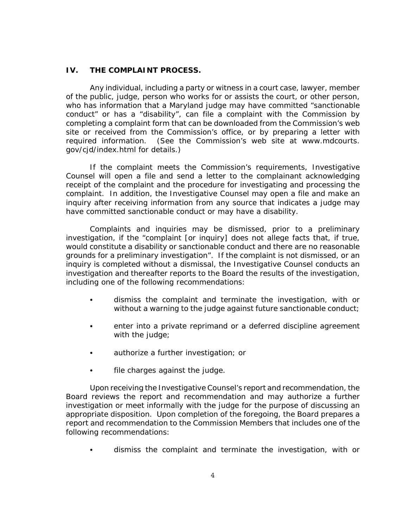## **IV. THE COMPLAINT PROCESS.**

Any individual, including a party or witness in a court case, lawyer, member of the public, judge, person who works for or assists the court, or other person, who has information that a Maryland judge may have committed "sanctionable conduct" or has a "disability", can file a complaint with the Commission by completing a complaint form that can be downloaded from the Commission's web site or received from the Commission's office, or by preparing a letter with required information. (See the Commission's web site at www.mdcourts. gov/cjd/index.html for details.)

If the complaint meets the Commission's requirements, Investigative Counsel will open a file and send a letter to the complainant acknowledging receipt of the complaint and the procedure for investigating and processing the complaint. In addition, the Investigative Counsel may open a file and make an inquiry after receiving information from any source that indicates a judge may have committed sanctionable conduct or may have a disability.

Complaints and inquiries may be dismissed, prior to a preliminary investigation, if the "complaint [or inquiry] does not allege facts that, if true, would constitute a disability or sanctionable conduct and there are no reasonable grounds for a preliminary investigation". If the complaint is not dismissed, or an inquiry is completed without a dismissal, the Investigative Counsel conducts an investigation and thereafter reports to the Board the results of the investigation, including one of the following recommendations:

- dismiss the complaint and terminate the investigation, with or without a warning to the judge against future sanctionable conduct;
- enter into a private reprimand or a deferred discipline agreement with the judge;
- authorize a further investigation; or
- file charges against the judge.

Upon receiving the Investigative Counsel's report and recommendation, the Board reviews the report and recommendation and may authorize a further investigation or meet informally with the judge for the purpose of discussing an appropriate disposition. Upon completion of the foregoing, the Board prepares a report and recommendation to the Commission Members that includes one of the following recommendations:

dismiss the complaint and terminate the investigation, with or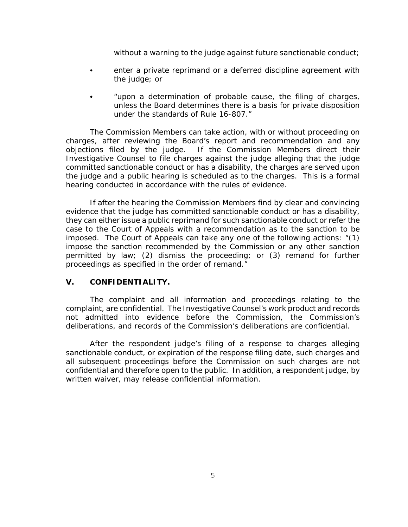without a warning to the judge against future sanctionable conduct;

- enter a private reprimand or a deferred discipline agreement with the judge; or
- "upon a determination of probable cause, the filing of charges, unless the Board determines there is a basis for private disposition under the standards of Rule 16-807."

The Commission Members can take action, with or without proceeding on charges, after reviewing the Board's report and recommendation and any objections filed by the judge. If the Commission Members direct their Investigative Counsel to file charges against the judge alleging that the judge committed sanctionable conduct or has a disability, the charges are served upon the judge and a public hearing is scheduled as to the charges. This is a formal hearing conducted in accordance with the rules of evidence.

If after the hearing the Commission Members find by clear and convincing evidence that the judge has committed sanctionable conduct or has a disability, they can either issue a public reprimand for such sanctionable conduct or refer the case to the Court of Appeals with a recommendation as to the sanction to be imposed. The Court of Appeals can take any one of the following actions: "(1) impose the sanction recommended by the Commission or any other sanction permitted by law; (2) dismiss the proceeding; or (3) remand for further proceedings as specified in the order of remand."

## **V. CONFIDENTIALITY.**

The complaint and all information and proceedings relating to the complaint, are confidential. The Investigative Counsel's work product and records not admitted into evidence before the Commission, the Commission's deliberations, and records of the Commission's deliberations are confidential.

After the respondent judge's filing of a response to charges alleging sanctionable conduct, or expiration of the response filing date, such charges and all subsequent proceedings before the Commission on such charges are not confidential and therefore open to the public. In addition, a respondent judge, by written waiver, may release confidential information.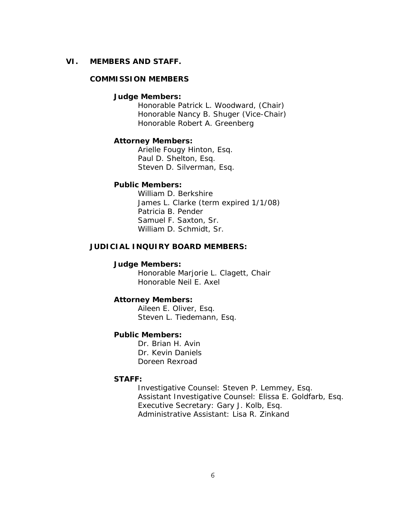#### **VI. MEMBERS AND STAFF.**

#### **COMMISSION MEMBERS**

#### **Judge Members:**

Honorable Patrick L. Woodward, (Chair) Honorable Nancy B. Shuger (Vice-Chair) Honorable Robert A. Greenberg

#### **Attorney Members:**

Arielle Fougy Hinton, Esq. Paul D. Shelton, Esq. Steven D. Silverman, Esq.

#### **Public Members:**

William D. Berkshire James L. Clarke (term expired 1/1/08) Patricia B. Pender Samuel F. Saxton, Sr. William D. Schmidt, Sr.

## **JUDICIAL INQUIRY BOARD MEMBERS:**

### **Judge Members:**

Honorable Marjorie L. Clagett, Chair Honorable Neil E. Axel

#### **Attorney Members:**

Aileen E. Oliver, Esq. Steven L. Tiedemann, Esq.

## **Public Members:**

Dr. Brian H. Avin Dr. Kevin Daniels Doreen Rexroad

#### **STAFF:**

Investigative Counsel: Steven P. Lemmey, Esq. Assistant Investigative Counsel: Elissa E. Goldfarb, Esq. Executive Secretary: Gary J. Kolb, Esq. Administrative Assistant: Lisa R. Zinkand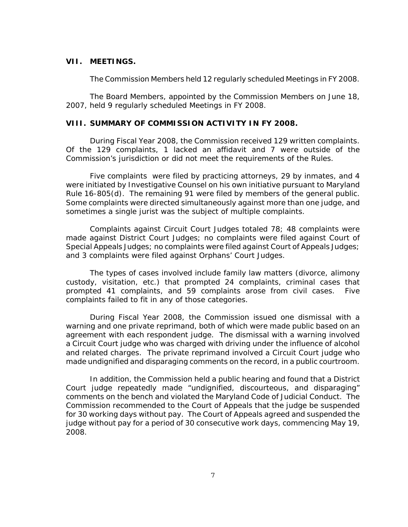## **VII. MEETINGS.**

The Commission Members held 12 regularly scheduled Meetings in FY 2008.

The Board Members, appointed by the Commission Members on June 18, 2007, held 9 regularly scheduled Meetings in FY 2008.

#### **VIII. SUMMARY OF COMMISSION ACTIVITY IN FY 2008.**

During Fiscal Year 2008, the Commission received 129 written complaints. Of the 129 complaints, 1 lacked an affidavit and 7 were outside of the Commission's jurisdiction or did not meet the requirements of the Rules.

Five complaints were filed by practicing attorneys, 29 by inmates, and 4 were initiated by Investigative Counsel on his own initiative pursuant to Maryland Rule 16-805(d). The remaining 91 were filed by members of the general public. Some complaints were directed simultaneously against more than one judge, and sometimes a single jurist was the subject of multiple complaints.

Complaints against Circuit Court Judges totaled 78; 48 complaints were made against District Court Judges; no complaints were filed against Court of Special Appeals Judges; no complaints were filed against Court of Appeals Judges; and 3 complaints were filed against Orphans' Court Judges.

The types of cases involved include family law matters (divorce, alimony custody, visitation, etc.) that prompted 24 complaints, criminal cases that prompted 41 complaints, and 59 complaints arose from civil cases. Five complaints failed to fit in any of those categories.

During Fiscal Year 2008, the Commission issued one dismissal with a warning and one private reprimand, both of which were made public based on an agreement with each respondent judge. The dismissal with a warning involved a Circuit Court judge who was charged with driving under the influence of alcohol and related charges. The private reprimand involved a Circuit Court judge who made undignified and disparaging comments on the record, in a public courtroom.

In addition, the Commission held a public hearing and found that a District Court judge repeatedly made "undignified, discourteous, and disparaging" comments on the bench and violated the Maryland Code of Judicial Conduct. The Commission recommended to the Court of Appeals that the judge be suspended for 30 working days without pay. The Court of Appeals agreed and suspended the judge without pay for a period of 30 consecutive work days, commencing May 19, 2008.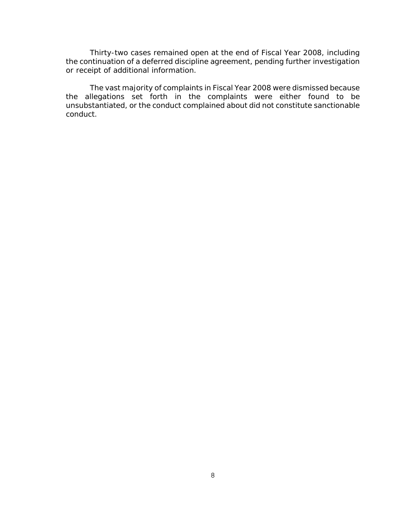Thirty-two cases remained open at the end of Fiscal Year 2008, including the continuation of a deferred discipline agreement, pending further investigation or receipt of additional information.

The vast majority of complaints in Fiscal Year 2008 were dismissed because the allegations set forth in the complaints were either found to be unsubstantiated, or the conduct complained about did not constitute sanctionable conduct.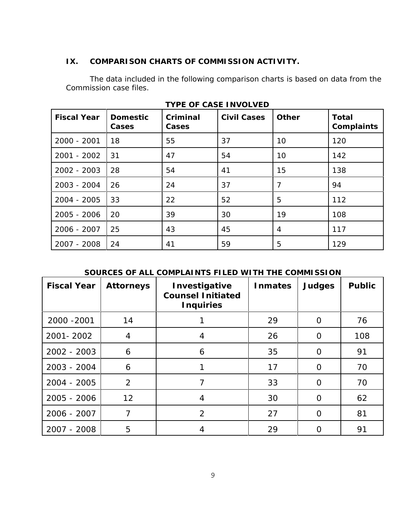## **IX. COMPARISON CHARTS OF COMMISSION ACTIVITY.**

The data included in the following comparison charts is based on data from the Commission case files.

| <b>Fiscal Year</b> | <b>Domestic</b><br>Cases | Criminal<br>Cases | <b>Civil Cases</b> | <b>Other</b> | <b>Total</b><br>Complaints |
|--------------------|--------------------------|-------------------|--------------------|--------------|----------------------------|
| 2000 - 2001        | 18                       | 55                | 37                 | 10           | 120                        |
| 2001 - 2002        | 31                       | 47                | 54                 | 10           | 142                        |
| 2002 - 2003        | 28                       | 54                | 41                 | 15           | 138                        |
| 2003 - 2004        | 26                       | 24                | 37                 | 7            | 94                         |
| 2004 - 2005        | 33                       | 22                | 52                 | 5            | 112                        |
| 2005 - 2006        | 20                       | 39                | 30                 | 19           | 108                        |
| 2006 - 2007        | 25                       | 43                | 45                 | 4            | 117                        |
| 2007 - 2008        | 24                       | 41                | 59                 | 5            | 129                        |

**TYPE OF CASE INVOLVED**

## **SOURCES OF ALL COMPLAINTS FILED WITH THE COMMISSION**

| <b>Fiscal Year</b> | <b>Attorneys</b> | Investigative<br><b>Counsel Initiated</b><br><b>Inquiries</b> | <b>Inmates</b> | <b>Judges</b> | <b>Public</b> |
|--------------------|------------------|---------------------------------------------------------------|----------------|---------------|---------------|
| 2000 - 2001        | 14               |                                                               | 29             | $\Omega$      | 76            |
| 2001 - 2002        | 4                | 4                                                             | 26             | O             | 108           |
| 2002 - 2003        | 6                | 6                                                             | 35             | O             | 91            |
| 2003 - 2004        | 6                |                                                               | 17             | $\Omega$      | 70            |
| 2004 - 2005        | 2                | 7                                                             | 33             | $\Omega$      | 70            |
| 2005 - 2006        | 12               | 4                                                             | 30             | $\Omega$      | 62            |
| 2006 - 2007        | 7                | 2                                                             | 27             | O             | 81            |
| 2007 - 2008        | 5                | 4                                                             | 29             | O             | 91            |